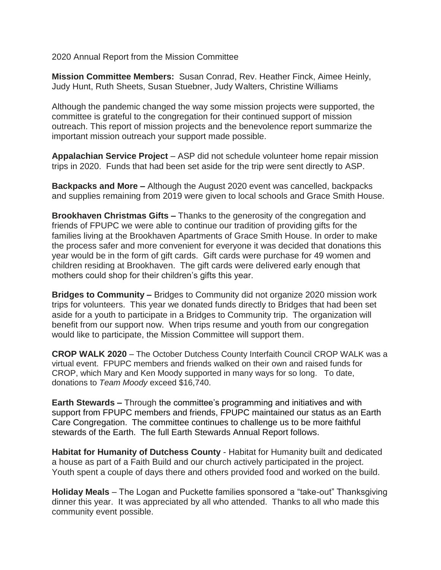2020 Annual Report from the Mission Committee

**Mission Committee Members:** Susan Conrad, Rev. Heather Finck, Aimee Heinly, Judy Hunt, Ruth Sheets, Susan Stuebner, Judy Walters, Christine Williams

Although the pandemic changed the way some mission projects were supported, the committee is grateful to the congregation for their continued support of mission outreach. This report of mission projects and the benevolence report summarize the important mission outreach your support made possible.

**Appalachian Service Project** – ASP did not schedule volunteer home repair mission trips in 2020. Funds that had been set aside for the trip were sent directly to ASP.

**Backpacks and More –** Although the August 2020 event was cancelled, backpacks and supplies remaining from 2019 were given to local schools and Grace Smith House.

**Brookhaven Christmas Gifts –** Thanks to the generosity of the congregation and friends of FPUPC we were able to continue our tradition of providing gifts for the families living at the Brookhaven Apartments of Grace Smith House. In order to make the process safer and more convenient for everyone it was decided that donations this year would be in the form of gift cards. Gift cards were purchase for 49 women and children residing at Brookhaven. The gift cards were delivered early enough that mothers could shop for their children's gifts this year.

**Bridges to Community –** Bridges to Community did not organize 2020 mission work trips for volunteers. This year we donated funds directly to Bridges that had been set aside for a youth to participate in a Bridges to Community trip. The organization will benefit from our support now. When trips resume and youth from our congregation would like to participate, the Mission Committee will support them.

**CROP WALK 2020** – The October Dutchess County Interfaith Council CROP WALK was a virtual event. FPUPC members and friends walked on their own and raised funds for CROP, which Mary and Ken Moody supported in many ways for so long. To date, donations to *Team Moody* exceed \$16,740.

**Earth Stewards –** Through the committee's programming and initiatives and with support from FPUPC members and friends, FPUPC maintained our status as an Earth Care Congregation. The committee continues to challenge us to be more faithful stewards of the Earth. The full Earth Stewards Annual Report follows.

**Habitat for Humanity of Dutchess County** - Habitat for Humanity built and dedicated a house as part of a Faith Build and our church actively participated in the project. Youth spent a couple of days there and others provided food and worked on the build.

**Holiday Meals** – The Logan and Puckette families sponsored a "take-out" Thanksgiving dinner this year. It was appreciated by all who attended. Thanks to all who made this community event possible.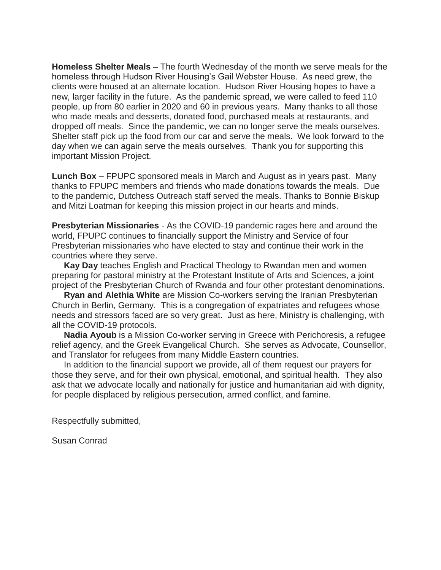**Homeless Shelter Meals** – The fourth Wednesday of the month we serve meals for the homeless through Hudson River Housing's Gail Webster House. As need grew, the clients were housed at an alternate location. Hudson River Housing hopes to have a new, larger facility in the future. As the pandemic spread, we were called to feed 110 people, up from 80 earlier in 2020 and 60 in previous years. Many thanks to all those who made meals and desserts, donated food, purchased meals at restaurants, and dropped off meals. Since the pandemic, we can no longer serve the meals ourselves. Shelter staff pick up the food from our car and serve the meals. We look forward to the day when we can again serve the meals ourselves. Thank you for supporting this important Mission Project.

**Lunch Box** – FPUPC sponsored meals in March and August as in years past. Many thanks to FPUPC members and friends who made donations towards the meals. Due to the pandemic, Dutchess Outreach staff served the meals. Thanks to Bonnie Biskup and Mitzi Loatman for keeping this mission project in our hearts and minds.

**Presbyterian Missionaries** - As the COVID-19 pandemic rages here and around the world, FPUPC continues to financially support the Ministry and Service of four Presbyterian missionaries who have elected to stay and continue their work in the countries where they serve.

**Kay Day** teaches English and Practical Theology to Rwandan men and women preparing for pastoral ministry at the Protestant Institute of Arts and Sciences, a joint project of the Presbyterian Church of Rwanda and four other protestant denominations.

**Ryan and Alethia White** are Mission Co-workers serving the Iranian Presbyterian Church in Berlin, Germany. This is a congregation of expatriates and refugees whose needs and stressors faced are so very great. Just as here, Ministry is challenging, with all the COVID-19 protocols.

**Nadia Ayoub** is a Mission Co-worker serving in Greece with Perichoresis, a refugee relief agency, and the Greek Evangelical Church. She serves as Advocate, Counsellor, and Translator for refugees from many Middle Eastern countries.

In addition to the financial support we provide, all of them request our prayers for those they serve, and for their own physical, emotional, and spiritual health. They also ask that we advocate locally and nationally for justice and humanitarian aid with dignity, for people displaced by religious persecution, armed conflict, and famine.

Respectfully submitted,

Susan Conrad